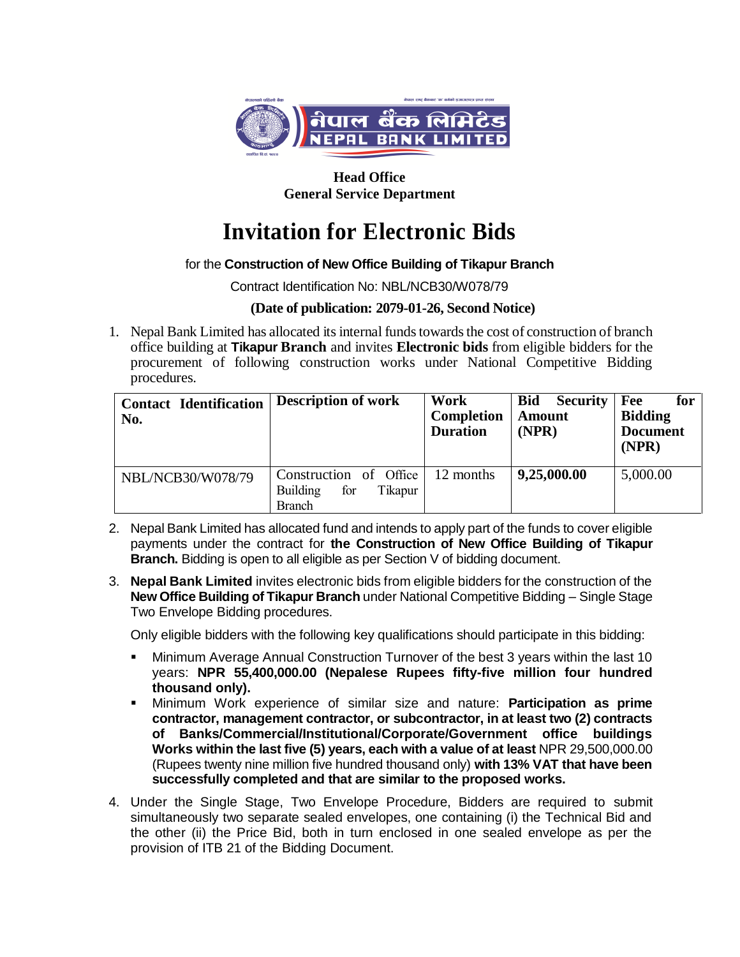

**Head Office General Service Department**

# **Invitation for Electronic Bids**

## for the **Construction of New Office Building of Tikapur Branch**

Contract Identification No: NBL/NCB30/W078/79

## **(Date of publication: 2079-01-26, Second Notice)**

1. Nepal Bank Limited has allocated its internal funds towards the cost of construction of branch office building at **Tikapur Branch** and invites **Electronic bids** from eligible bidders for the procurement of following construction works under National Competitive Bidding procedures.

| <b>Contact Identification</b><br>No. | <b>Description of work</b>                                                   | Work<br>Completion<br><b>Duration</b> | <b>Bid</b><br><b>Security</b><br><b>Amount</b><br>(NPR) | Fee<br>for<br><b>Bidding</b><br><b>Document</b><br>(NPR) |
|--------------------------------------|------------------------------------------------------------------------------|---------------------------------------|---------------------------------------------------------|----------------------------------------------------------|
| NBL/NCB30/W078/79                    | Construction of Office<br>for<br><b>Building</b><br>Tikapur<br><b>Branch</b> | 12 months                             | 9,25,000.00                                             | 5,000.00                                                 |

- 2. Nepal Bank Limited has allocated fund and intends to apply part of the funds to cover eligible payments under the contract for **the Construction of New Office Building of Tikapur Branch.** Bidding is open to all eligible as per Section V of bidding document.
- 3. **Nepal Bank Limited** invites electronic bids from eligible bidders for the construction of the **New Office Building of Tikapur Branch** under National Competitive Bidding – Single Stage Two Envelope Bidding procedures.

Only eligible bidders with the following key qualifications should participate in this bidding:

- Minimum Average Annual Construction Turnover of the best 3 years within the last 10 years: **NPR 55,400,000.00 (Nepalese Rupees fifty-five million four hundred thousand only).**
- Minimum Work experience of similar size and nature: **Participation as prime contractor, management contractor, or subcontractor, in at least two (2) contracts of Banks/Commercial/Institutional/Corporate/Government office buildings Works within the last five (5) years, each with a value of at least** NPR 29,500,000.00 (Rupees twenty nine million five hundred thousand only) **with 13% VAT that have been successfully completed and that are similar to the proposed works.**
- 4. Under the Single Stage, Two Envelope Procedure, Bidders are required to submit simultaneously two separate sealed envelopes, one containing (i) the Technical Bid and the other (ii) the Price Bid, both in turn enclosed in one sealed envelope as per the provision of ITB 21 of the Bidding Document.